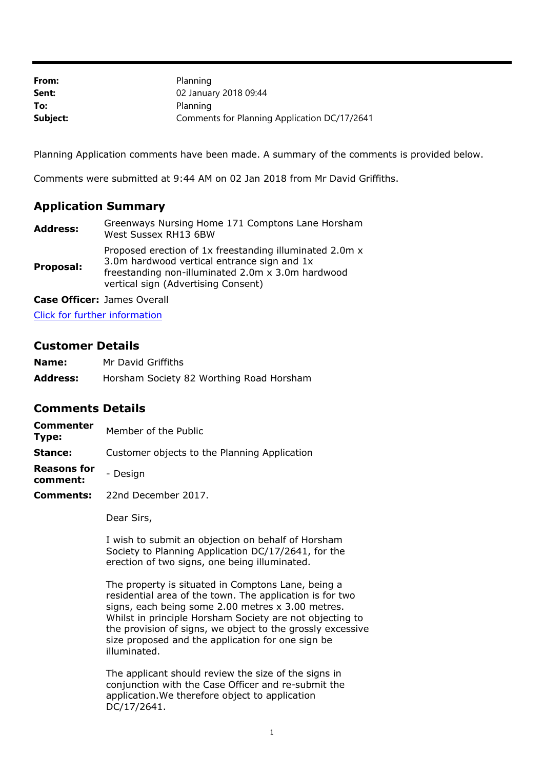| From:    | Planning                                     |
|----------|----------------------------------------------|
| Sent:    | 02 January 2018 09:44                        |
| To:      | Planning                                     |
| Subject: | Comments for Planning Application DC/17/2641 |

Planning Application comments have been made. A summary of the comments is provided below.

Comments were submitted at 9:44 AM on 02 Jan 2018 from Mr David Griffiths.

## **Application Summary**

| <b>Address:</b> | Greenways Nursing Home 171 Comptons Lane Horsham<br>West Sussex RH13 6BW                                                                                                                           |
|-----------------|----------------------------------------------------------------------------------------------------------------------------------------------------------------------------------------------------|
| Proposal:       | Proposed erection of 1x freestanding illuminated 2.0m x<br>3.0m hardwood vertical entrance sign and 1x<br>freestanding non-illuminated 2.0m x 3.0m hardwood<br>vertical sign (Advertising Consent) |

**Case Officer:** James Overall

[Click for further information](https://public-access.horsham.gov.uk/public-access//centralDistribution.do?caseType=Application&keyVal=OZVMIYIJ02X00)

## **Customer Details**

| Name:           | Mr David Griffiths                       |
|-----------------|------------------------------------------|
| <b>Address:</b> | Horsham Society 82 Worthing Road Horsham |

## **Comments Details**

| Commenter<br>Type: | Member of the Public                         |
|--------------------|----------------------------------------------|
| Stance:            | Customer objects to the Planning Application |

- **Reasons for comment:** - Design
- **Comments:** 22nd December 2017.

Dear Sirs,

I wish to submit an objection on behalf of Horsham Society to Planning Application DC/17/2641, for the erection of two signs, one being illuminated.

The property is situated in Comptons Lane, being a residential area of the town. The application is for two signs, each being some 2.00 metres x 3.00 metres. Whilst in principle Horsham Society are not objecting to the provision of signs, we object to the grossly excessive size proposed and the application for one sign be illuminated.

The applicant should review the size of the signs in conjunction with the Case Officer and re-submit the application.We therefore object to application DC/17/2641.